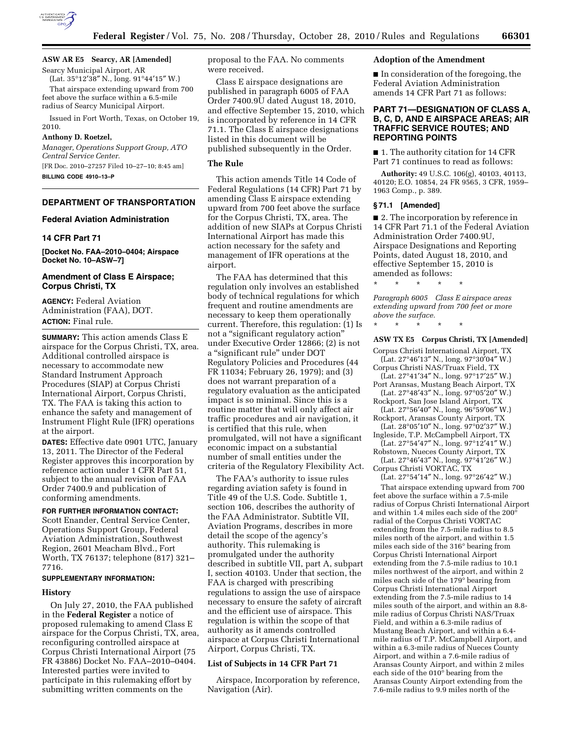

# **ASW AR E5 Searcy, AR [Amended]**

Searcy Municipal Airport, AR (Lat. 35°12′38″ N., long. 91°44′15″ W.) That airspace extending upward from 700 feet above the surface within a 6.5-mile radius of Searcy Municipal Airport.

Issued in Fort Worth, Texas, on October 19, 2010.

#### **Anthony D. Roetzel,**

*Manager, Operations Support Group, ATO Central Service Center.* 

[FR Doc. 2010–27257 Filed 10–27–10; 8:45 am] **BILLING CODE 4910–13–P** 

### **DEPARTMENT OF TRANSPORTATION**

#### **Federal Aviation Administration**

# **14 CFR Part 71**

**[Docket No. FAA–2010–0404; Airspace Docket No. 10–ASW–7]** 

# **Amendment of Class E Airspace; Corpus Christi, TX**

**AGENCY:** Federal Aviation Administration (FAA), DOT. **ACTION:** Final rule.

**SUMMARY:** This action amends Class E airspace for the Corpus Christi, TX, area. Additional controlled airspace is necessary to accommodate new Standard Instrument Approach Procedures (SIAP) at Corpus Christi International Airport, Corpus Christi, TX. The FAA is taking this action to enhance the safety and management of Instrument Flight Rule (IFR) operations at the airport.

**DATES:** Effective date 0901 UTC, January 13, 2011. The Director of the Federal Register approves this incorporation by reference action under 1 CFR Part 51, subject to the annual revision of FAA Order 7400.9 and publication of conforming amendments.

### **FOR FURTHER INFORMATION CONTACT:**

Scott Enander, Central Service Center, Operations Support Group, Federal Aviation Administration, Southwest Region, 2601 Meacham Blvd., Fort Worth, TX 76137; telephone (817) 321– 7716.

### **SUPPLEMENTARY INFORMATION:**

#### **History**

On July 27, 2010, the FAA published in the **Federal Register** a notice of proposed rulemaking to amend Class E airspace for the Corpus Christi, TX, area, reconfiguring controlled airspace at Corpus Christi International Airport (75 FR 43886) Docket No. FAA–2010–0404. Interested parties were invited to participate in this rulemaking effort by submitting written comments on the

proposal to the FAA. No comments were received.

Class E airspace designations are published in paragraph 6005 of FAA Order 7400.9U dated August 18, 2010, and effective September 15, 2010, which is incorporated by reference in 14 CFR 71.1. The Class E airspace designations listed in this document will be published subsequently in the Order.

# **The Rule**

This action amends Title 14 Code of Federal Regulations (14 CFR) Part 71 by amending Class E airspace extending upward from 700 feet above the surface for the Corpus Christi, TX, area. The addition of new SIAPs at Corpus Christi International Airport has made this action necessary for the safety and management of IFR operations at the airport.

The FAA has determined that this regulation only involves an established body of technical regulations for which frequent and routine amendments are necessary to keep them operationally current. Therefore, this regulation: (1) Is not a ''significant regulatory action'' under Executive Order 12866; (2) is not a ''significant rule'' under DOT Regulatory Policies and Procedures (44 FR 11034; February 26, 1979); and (3) does not warrant preparation of a regulatory evaluation as the anticipated impact is so minimal. Since this is a routine matter that will only affect air traffic procedures and air navigation, it is certified that this rule, when promulgated, will not have a significant economic impact on a substantial number of small entities under the criteria of the Regulatory Flexibility Act.

The FAA's authority to issue rules regarding aviation safety is found in Title 49 of the U.S. Code. Subtitle 1, section 106, describes the authority of the FAA Administrator. Subtitle VII, Aviation Programs, describes in more detail the scope of the agency's authority. This rulemaking is promulgated under the authority described in subtitle VII, part A, subpart I, section 40103. Under that section, the FAA is charged with prescribing regulations to assign the use of airspace necessary to ensure the safety of aircraft and the efficient use of airspace. This regulation is within the scope of that authority as it amends controlled airspace at Corpus Christi International Airport, Corpus Christi, TX.

### **List of Subjects in 14 CFR Part 71**

Airspace, Incorporation by reference, Navigation (Air).

### **Adoption of the Amendment**

■ In consideration of the foregoing, the Federal Aviation Administration amends 14 CFR Part 71 as follows:

# **PART 71—DESIGNATION OF CLASS A, B, C, D, AND E AIRSPACE AREAS; AIR TRAFFIC SERVICE ROUTES; AND REPORTING POINTS**

■ 1. The authority citation for 14 CFR Part 71 continues to read as follows:

**Authority:** 49 U.S.C. 106(g), 40103, 40113, 40120; E.O. 10854, 24 FR 9565, 3 CFR, 1959– 1963 Comp., p. 389.

## **§ 71.1 [Amended]**

■ 2. The incorporation by reference in 14 CFR Part 71.1 of the Federal Aviation Administration Order 7400.9U, Airspace Designations and Reporting Points, dated August 18, 2010, and effective September 15, 2010 is amended as follows:

\* \* \* \* \*

\* \* \* \* \*

*Paragraph 6005 Class E airspace areas extending upward from 700 feet or more above the surface.* 

# **ASW TX E5 Corpus Christi, TX [Amended]**

Corpus Christi International Airport, TX (Lat. 27°46′13″ N., long. 97°30′04″ W.) Corpus Christi NAS/Truax Field, TX

- (Lat. 27°41′34″ N., long. 97°17′25″ W.) Port Aransas, Mustang Beach Airport, TX
- (Lat. 27°48′43″ N., long. 97°05′20″ W.)
- Rockport, San Jose Island Airport, TX (Lat. 27°56′40″ N., long. 96°59′06″ W.) Rockport, Aransas County Airport, TX
- (Lat. 28°05′10″ N., long. 97°02′37″ W.) Ingleside, T.P. McCampbell Airport, TX
- (Lat. 27°54′47″ N., long. 97°12′41″ W.)
- Robstown, Nueces County Airport, TX (Lat. 27°46′43″ N., long. 97°41′26″ W.)

Corpus Christi VORTAC, TX (Lat. 27°54′14″ N., long. 97°26′42″ W.)

That airspace extending upward from 700 feet above the surface within a 7.5-mile radius of Corpus Christi International Airport and within 1.4 miles each side of the 200 $^{\circ}$ radial of the Corpus Christi VORTAC extending from the 7.5-mile radius to 8.5 miles north of the airport, and within 1.5 miles each side of the 316° bearing from Corpus Christi International Airport extending from the 7.5-mile radius to 10.1 miles northwest of the airport, and within 2 miles each side of the 179° bearing from Corpus Christi International Airport extending from the 7.5-mile radius to 14 miles south of the airport, and within an 8.8 mile radius of Corpus Christi NAS/Truax Field, and within a 6.3-mile radius of Mustang Beach Airport, and within a 6.4 mile radius of T.P. McCampbell Airport, and within a 6.3-mile radius of Nueces County Airport, and within a 7.6-mile radius of Aransas County Airport, and within 2 miles each side of the 010° bearing from the Aransas County Airport extending from the 7.6-mile radius to 9.9 miles north of the